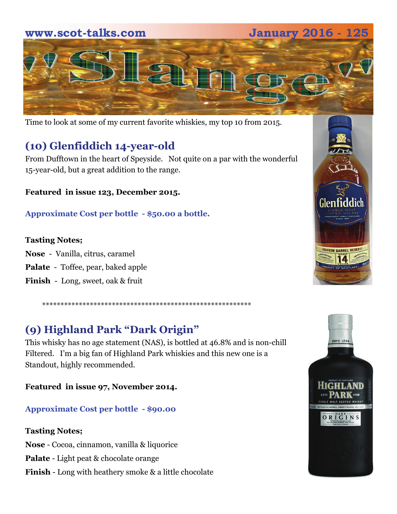



Time to look at some of my current favorite whiskies, my top 10 from 2015.

## **(10) Glenfiddich 14-year-old**

From Dufftown in the heart of Speyside. Not quite on a par with the wonderful 15-year-old, but a great addition to the range.

### **Featured in issue 123, December 2015.**

**Approximate Cost per bottle - \$50.00 a bottle.** 

### **Tasting Notes;**

**Nose** - Vanilla, citrus, caramel

**Palate** - Toffee, pear, baked apple

**Finish** - Long, sweet, oak & fruit

\*\*\*\*\*\*\*\*\*\*\*\*\*\*\*\*\*\*\*\*\*\*\*\*\*\*\*\*\*\*\*\*\*\*\*\*\*\*\*\*\*\*\*\*\*\*\*\*\*\*\*\*\*\*\*\*\*

# **(9) Highland Park "Dark Origin"**

This whisky has no age statement (NAS), is bottled at 46.8% and is non-chill Filtered. I'm a big fan of Highland Park whiskies and this new one is a Standout, highly recommended.

**Featured in issue 97, November 2014.** 

### **Approximate Cost per bottle - \$90.00**

### **Tasting Notes;**

**Nose** - Cocoa, cinnamon, vanilla & liquorice

**Palate** - Light peat & chocolate orange

**Finish** - Long with heathery smoke & a little chocolate



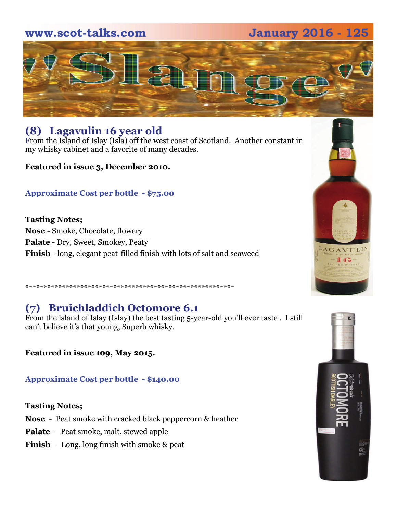## **www.scot-talks.com January 2016 - 125**



## **(8) Lagavulin 16 year old**

From the Island of Islay (Isla) off the west coast of Scotland. Another constant in my whisky cabinet and a favorite of many decades.

**Featured in issue 3, December 2010.**

### **Approximate Cost per bottle - \$75.00**

**Tasting Notes; Nose** - Smoke, Chocolate, flowery **Palate** - Dry, Sweet, Smokey, Peaty **Finish** - long, elegant peat-filled finish with lots of salt and seaweed

## \*\*\*\*\*\*\*\*\*\*\*\*\*\*\*\*\*\*\*\*\*\*\*\*\*\*\*\*\*\*\*\*\*\*\*\*\*\*\*\*\*\*\*\*\*\*\*\*\*\*\*\*\*\*\*\*\*

## **(7) Bruichladdich Octomore 6.1**

From the island of Islay (Islay) the best tasting 5-year-old you'll ever taste . I still can't believe it's that young, Superb whisky.

**Featured in issue 109, May 2015.** 

**Approximate Cost per bottle - \$140.00**

#### **Tasting Notes;**

- **Nose**  Peat smoke with cracked black peppercorn & heather
- **Palate**  Peat smoke, malt, stewed apple
- **Finish**  Long, long finish with smoke & peat



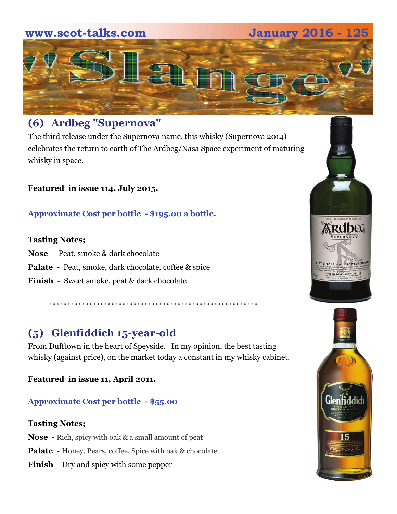## **www.scot-talks.com January 2016 - 125**



## **(6) Ardbeg "Supernova"**

The third release under the Supernova name, this whisky (Supernova 2014) celebrates the return to earth of The Ardbeg/Nasa Space experiment of maturing whisky in space.

**Featured in issue 114, July 2015.**

**Approximate Cost per bottle - \$195.00 a bottle.** 

#### **Tasting Notes;**

- **Nose**  Peat, smoke & dark chocolate
- **Palate**  Peat, smoke, dark chocolate, coffee & spice
- **Finish**  Sweet smoke, peat & dark chocolate

# **(5) Glenfiddich 15-year-old**

From Dufftown in the heart of Speyside. In my opinion, the best tasting whisky (against price), on the market today a constant in my whisky cabinet.

\*\*\*\*\*\*\*\*\*\*\*\*\*\*\*\*\*\*\*\*\*\*\*\*\*\*\*\*\*\*\*\*\*\*\*\*\*\*\*\*\*\*\*\*\*\*\*\*\*\*\*\*\*\*\*\*\*

**Featured in issue 11, April 2011.** 

### **Approximate Cost per bottle - \$55.00**

#### **Tasting Notes;**

- **Nose**  Rich, spicy with oak & a small amount of peat
- **Palate**  Honey, Pears, coffee, Spice with oak & chocolate.
- **Finish**  Dry and spicy with some pepper



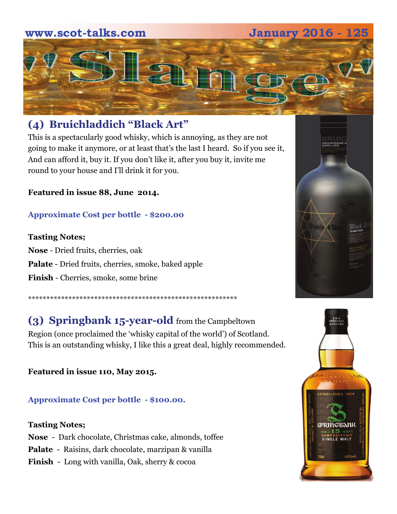## **www.scot-talks.com January 2016 - 125**



## **(4) Bruichladdich "Black Art"**

This is a spectacularly good whisky, which is annoying, as they are not going to make it anymore, or at least that's the last I heard. So if you see it, And can afford it, buy it. If you don't like it, after you buy it, invite me round to your house and I'll drink it for you.

**Featured in issue 88, June 2014.** 

#### **Approximate Cost per bottle - \$200.00**

#### **Tasting Notes;**

**Nose** - Dried fruits, cherries, oak **Palate** - Dried fruits, cherries, smoke, baked apple **Finish** - Cherries, smoke, some brine

\*\*\*\*\*\*\*\*\*\*\*\*\*\*\*\*\*\*\*\*\*\*\*\*\*\*\*\*\*\*\*\*\*\*\*\*\*\*\*\*\*\*\*\*\*\*\*\*\*\*\*\*\*\*\*\*\*

**(3) Springbank 15-year-old** from the Campbeltown Region (once proclaimed the 'whisky capital of the world') of Scotland. This is an outstanding whisky, I like this a great deal, highly recommended.

**Featured in issue 110, May 2015.** 

**Approximate Cost per bottle - \$100.00.** 

#### **Tasting Notes;**

**Nose** - Dark chocolate, Christmas cake, almonds, toffee **Palate** - Raisins, dark chocolate, marzipan & vanilla **Finish** - Long with vanilla, Oak, sherry & cocoa



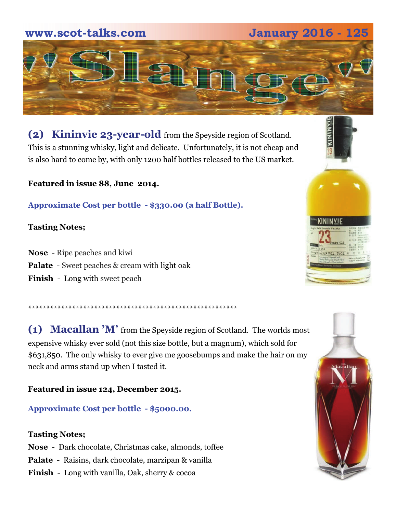# **2016 - 125 <b>January 2016 - 125**



**(2) Kininvie 23-year-old** from the Speyside region of Scotland. This is a stunning whisky, light and delicate. Unfortunately, it is not cheap and is also hard to come by, with only 1200 half bottles released to the US market.

**Featured in issue 88, June 2014.** 

**Approximate Cost per bottle - \$330.00 (a half Bottle).** 

\*\*\*\*\*\*\*\*\*\*\*\*\*\*\*\*\*\*\*\*\*\*\*\*\*\*\*\*\*\*\*\*\*\*\*\*\*\*\*\*\*\*\*\*\*\*\*\*\*\*\*\*\*\*\*\*\*

#### **Tasting Notes;**

**Nose** - Ripe peaches and kiwi **Palate** - Sweet peaches & cream with light oak **Finish** - Long with sweet peach

**(1) Macallan 'M'** from the Speyside region of Scotland. The worlds most expensive whisky ever sold (not this size bottle, but a magnum), which sold for \$631,850. The only whisky to ever give me goosebumps and make the hair on my neck and arms stand up when I tasted it.

**Featured in issue 124, December 2015.** 

**Approximate Cost per bottle - \$5000.00.** 

#### **Tasting Notes;**

**Nose** - Dark chocolate, Christmas cake, almonds, toffee **Palate** - Raisins, dark chocolate, marzipan & vanilla **Finish** - Long with vanilla, Oak, sherry & cocoa